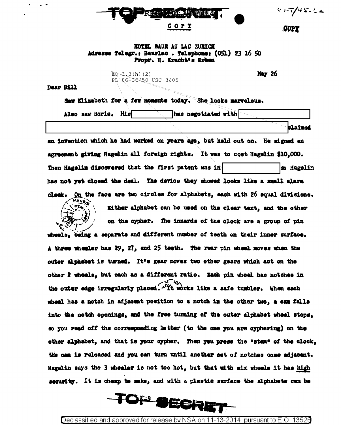

 $0.57/45.22$ 

.COPY

## HOTEL BAUR AU LAC ZURICH Adresse Telegr.: Baurlac . Telephone: (OS1) 23 16 50 Propr. H. Kracht's Erben

 $EQ - 3.3(h) (2)$ PL 86-36/50 USC 3605

May 26

**Dear Bill** 

Saw Elizabeth for a few moments today. She looks marvelous.

Also saw Boris. His has negotiated with

**blaimed** 

an invention which he had worked on years ago, but held out on. He signed an agreement giving Hagelin all foreign rights. It was to cost Hagelin \$10.000. Then Hagelin discovered that the first patent was in so Hagelin has not yet closed the deal. The device they showed looks like a small alarm On the face are two circles for alphabets, each with 26 equal divisions.  $\alpha$  ook .



Either alphabet can be used on the clear text, and the other on the cypher. The innards of the clock are a group of pin

wheels, being a separate and different number of teeth on their inner surface. A three wheeler has 29, 27, and 25 teeth. The rear pin wheel moves when the outer alphabet is turned. It's gear moves two other gears which act on the other 2 wheels, but each as a different ratio. Each pin wheel has notches in the outer edge irregularly placed. It works like a safe tumbler. When each wheel has a notch in adjacent position to a notch in the other two. a cam falls into the notch openings, and the free turning of the outer alphabet wheel stops. so you read off the corresponding letter (to the one you are cyphering) on the other alphabet, and that is your cypher. Then you press the "stem" of the clock, the cam is released and you can turn until another set of notches come adjacent. Hagelin says the 3 wheeler is not too hot, but that with six wheels it has high security. It is cheap to make, and with a plastic surface the alphabets can be

TOP SECRE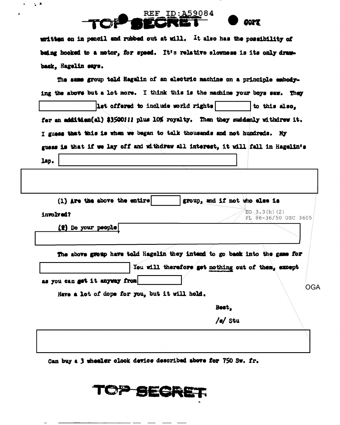## REF ID: A59084 **JAOS (**

 $\sim 10$  $\bullet$ 

> written on in pencil and rubbed out at will. It also has the possibility of being hooked to a motor, for speed. It's relative slowness is its only drawback, Hagelin says.

|                                                                                  | Let offered to include world rights                                        |                                                    | to this also,                         |
|----------------------------------------------------------------------------------|----------------------------------------------------------------------------|----------------------------------------------------|---------------------------------------|
| fer an addition(al) \$3500!!! plus 10% royalty. Then they suddenly withdrew it.  |                                                                            |                                                    |                                       |
| I guess that this is when we began to talk thousands and not hundreds. My        |                                                                            |                                                    |                                       |
| guess is that if we lay off and withdraw all interest, it will fall in Hagelin's |                                                                            |                                                    |                                       |
| lap.                                                                             |                                                                            |                                                    |                                       |
|                                                                                  |                                                                            |                                                    |                                       |
|                                                                                  |                                                                            |                                                    |                                       |
| $(1)$ Are the above the entire                                                   |                                                                            | group, and if not who else is                      |                                       |
| involved?                                                                        |                                                                            |                                                    | EO(3.3(h) (2)<br>PL 86-36/50 USC 3605 |
| (#) Do your people                                                               |                                                                            |                                                    |                                       |
|                                                                                  |                                                                            |                                                    |                                       |
|                                                                                  | The above group have told Hagelin they intend to go back into the game for |                                                    |                                       |
|                                                                                  |                                                                            | You will therefore get nothing out of them, except |                                       |
| as you can get it anyway from                                                    |                                                                            |                                                    |                                       |
|                                                                                  | Have a lot of dope for you, but it will hold.                              |                                                    |                                       |
|                                                                                  |                                                                            |                                                    |                                       |
|                                                                                  |                                                                            | Best,                                              |                                       |

Can buy a 3 wheeler clock device described above for 750 Sw. fr.

TOP SECRET